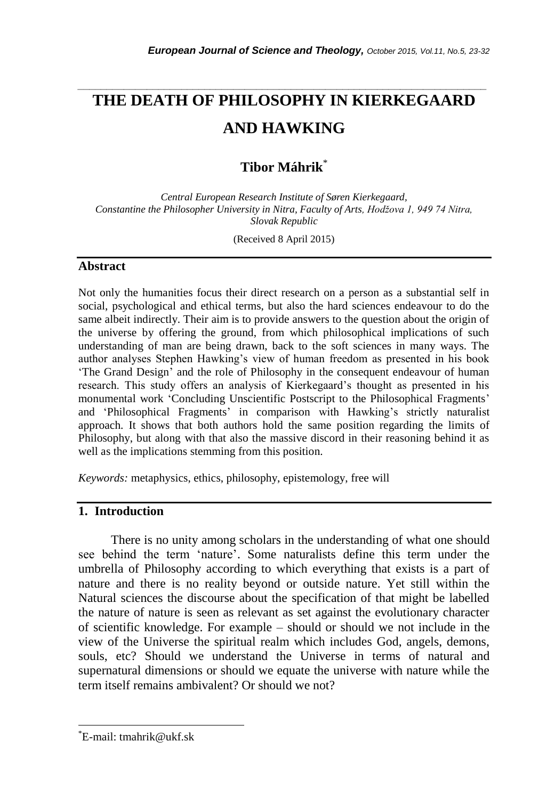# **THE DEATH OF PHILOSOPHY IN KIERKEGAARD AND HAWKING**

*\_\_\_\_\_\_\_\_\_\_\_\_\_\_\_\_\_\_\_\_\_\_\_\_\_\_\_\_\_\_\_\_\_\_\_\_\_\_\_\_\_\_\_\_\_\_\_\_\_\_\_\_\_\_\_\_\_\_\_\_\_\_\_\_\_\_\_\_\_\_\_*

**Tibor Máhrik**\*

*Central European Research Institute of Søren Kierkegaard, Constantine the Philosopher University in Nitra, Faculty of Arts, Hodžova 1, 949 74 Nitra, Slovak Republic*

(Received 8 April 2015)

#### **Abstract**

Not only the humanities focus their direct research on a person as a substantial self in social, psychological and ethical terms, but also the hard sciences endeavour to do the same albeit indirectly. Their aim is to provide answers to the question about the origin of the universe by offering the ground, from which philosophical implications of such understanding of man are being drawn, back to the soft sciences in many ways. The author analyses Stephen Hawking"s view of human freedom as presented in his book "The Grand Design" and the role of Philosophy in the consequent endeavour of human research. This study offers an analysis of Kierkegaard"s thought as presented in his monumental work "Concluding Unscientific Postscript to the Philosophical Fragments" and "Philosophical Fragments" in comparison with Hawking"s strictly naturalist approach. It shows that both authors hold the same position regarding the limits of Philosophy, but along with that also the massive discord in their reasoning behind it as well as the implications stemming from this position.

*Keywords:* metaphysics, ethics, philosophy, epistemology, free will

#### **1. Introduction**

There is no unity among scholars in the understanding of what one should see behind the term "nature". Some naturalists define this term under the umbrella of Philosophy according to which everything that exists is a part of nature and there is no reality beyond or outside nature. Yet still within the Natural sciences the discourse about the specification of that might be labelled the nature of nature is seen as relevant as set against the evolutionary character of scientific knowledge. For example – should or should we not include in the view of the Universe the spiritual realm which includes God, angels, demons, souls, etc? Should we understand the Universe in terms of natural and supernatural dimensions or should we equate the universe with nature while the term itself remains ambivalent? Or should we not?

l

<sup>\*</sup>E-mail: tmahrik@ukf.sk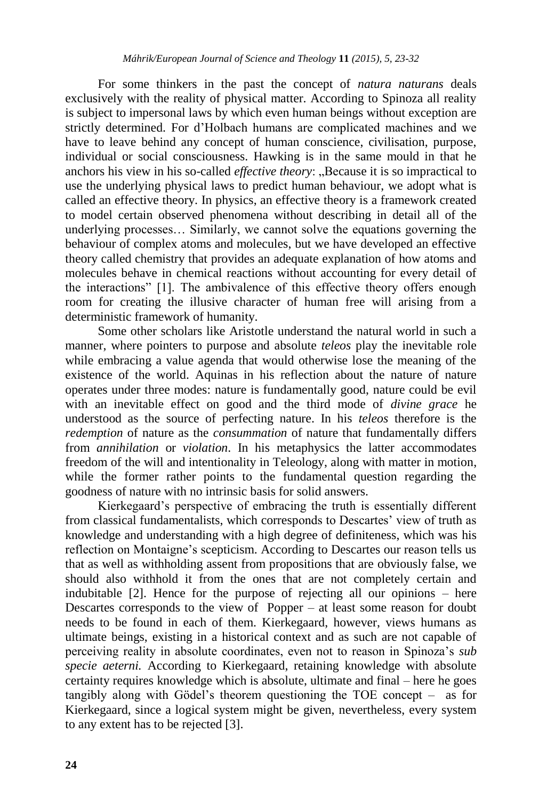For some thinkers in the past the concept of *natura naturans* deals exclusively with the reality of physical matter. According to Spinoza all reality is subject to impersonal laws by which even human beings without exception are strictly determined. For d"Holbach humans are complicated machines and we have to leave behind any concept of human conscience, civilisation, purpose, individual or social consciousness. Hawking is in the same mould in that he anchors his view in his so-called *effective theory*: "Because it is so impractical to use the underlying physical laws to predict human behaviour, we adopt what is called an effective theory. In physics, an effective theory is a framework created to model certain observed phenomena without describing in detail all of the underlying processes… Similarly, we cannot solve the equations governing the behaviour of complex atoms and molecules, but we have developed an effective theory called chemistry that provides an adequate explanation of how atoms and molecules behave in chemical reactions without accounting for every detail of the interactions" [1]. The ambivalence of this effective theory offers enough room for creating the illusive character of human free will arising from a deterministic framework of humanity.

Some other scholars like Aristotle understand the natural world in such a manner, where pointers to purpose and absolute *teleos* play the inevitable role while embracing a value agenda that would otherwise lose the meaning of the existence of the world. Aquinas in his reflection about the nature of nature operates under three modes: nature is fundamentally good, nature could be evil with an inevitable effect on good and the third mode of *divine grace* he understood as the source of perfecting nature. In his *teleos* therefore is the *redemption* of nature as the *consummation* of nature that fundamentally differs from *annihilation* or *violation*. In his metaphysics the latter accommodates freedom of the will and intentionality in Teleology, along with matter in motion, while the former rather points to the fundamental question regarding the goodness of nature with no intrinsic basis for solid answers.

Kierkegaard"s perspective of embracing the truth is essentially different from classical fundamentalists, which corresponds to Descartes' view of truth as knowledge and understanding with a high degree of definiteness, which was his reflection on Montaigne's scepticism. According to Descartes our reason tells us that as well as withholding assent from propositions that are obviously false, we should also withhold it from the ones that are not completely certain and indubitable [2]. Hence for the purpose of rejecting all our opinions – here Descartes corresponds to the view of Popper – at least some reason for doubt needs to be found in each of them. Kierkegaard, however, views humans as ultimate beings, existing in a historical context and as such are not capable of perceiving reality in absolute coordinates, even not to reason in Spinoza"s *sub specie aeterni.* According to Kierkegaard, retaining knowledge with absolute certainty requires knowledge which is absolute, ultimate and final – here he goes tangibly along with Gödel"s theorem questioning the TOE concept – as for Kierkegaard, since a logical system might be given, nevertheless, every system to any extent has to be rejected [3].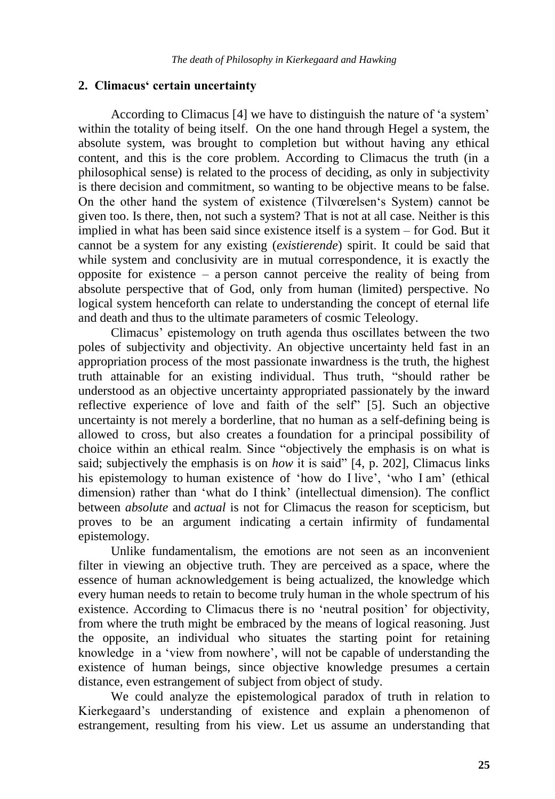#### **2. Climacus' certain uncertainty**

According to Climacus [4] we have to distinguish the nature of "a system" within the totality of being itself. On the one hand through Hegel a system, the absolute system, was brought to completion but without having any ethical content, and this is the core problem. According to Climacus the truth (in a philosophical sense) is related to the process of deciding, as only in subjectivity is there decision and commitment, so wanting to be objective means to be false. On the other hand the system of existence (Tilvœrelsen"s System) cannot be given too. Is there, then, not such a system? That is not at all case. Neither is this implied in what has been said since existence itself is a system – for God. But it cannot be a system for any existing (*existierende*) spirit. It could be said that while system and conclusivity are in mutual correspondence, it is exactly the opposite for existence – a person cannot perceive the reality of being from absolute perspective that of God, only from human (limited) perspective. No logical system henceforth can relate to understanding the concept of eternal life and death and thus to the ultimate parameters of cosmic Teleology.

Climacus" epistemology on truth agenda thus oscillates between the two poles of subjectivity and objectivity. An objective uncertainty held fast in an appropriation process of the most passionate inwardness is the truth, the highest truth attainable for an existing individual. Thus truth, "should rather be understood as an objective uncertainty appropriated passionately by the inward reflective experience of love and faith of the self" [5]. Such an objective uncertainty is not merely a borderline, that no human as a self-defining being is allowed to cross, but also creates a foundation for a principal possibility of choice within an ethical realm. Since "objectively the emphasis is on what is said; subjectively the emphasis is on *how* it is said" [4, p. 202], Climacus links his epistemology to human existence of 'how do I live', 'who I am' (ethical dimension) rather than "what do I think" (intellectual dimension). The conflict between *absolute* and *actual* is not for Climacus the reason for scepticism, but proves to be an argument indicating a certain infirmity of fundamental epistemology.

Unlike fundamentalism, the emotions are not seen as an inconvenient filter in viewing an objective truth. They are perceived as a space, where the essence of human acknowledgement is being actualized, the knowledge which every human needs to retain to become truly human in the whole spectrum of his existence. According to Climacus there is no "neutral position" for objectivity, from where the truth might be embraced by the means of logical reasoning. Just the opposite, an individual who situates the starting point for retaining knowledge in a "view from nowhere", will not be capable of understanding the existence of human beings, since objective knowledge presumes a certain distance, even estrangement of subject from object of study.

We could analyze the epistemological paradox of truth in relation to Kierkegaard"s understanding of existence and explain a phenomenon of estrangement, resulting from his view. Let us assume an understanding that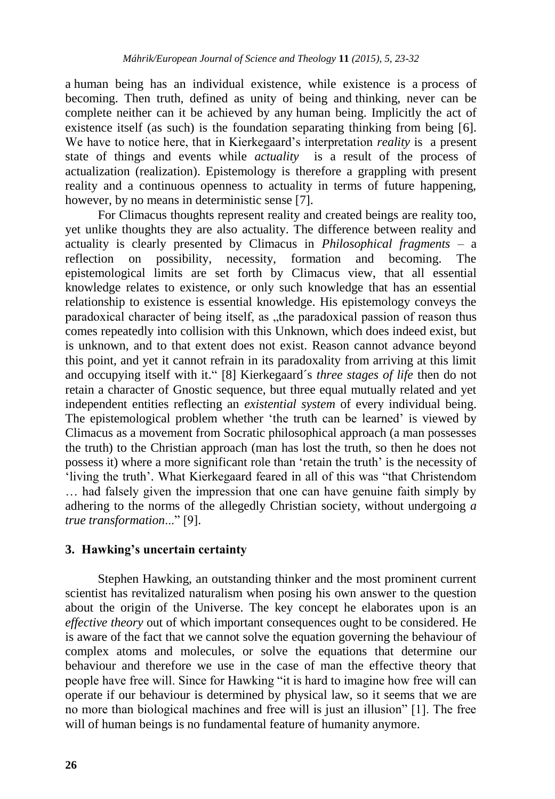a human being has an individual existence, while existence is a process of becoming. Then truth, defined as unity of being and thinking, never can be complete neither can it be achieved by any human being. Implicitly the act of existence itself (as such) is the foundation separating thinking from being [6]. We have to notice here, that in Kierkegaard"s interpretation *reality* is a present state of things and events while *actuality* is a result of the process of actualization (realization). Epistemology is therefore a grappling with present reality and a continuous openness to actuality in terms of future happening, however, by no means in deterministic sense [7].

For Climacus thoughts represent reality and created beings are reality too, yet unlike thoughts they are also actuality. The difference between reality and actuality is clearly presented by Climacus in *Philosophical fragments* – a reflection on possibility, necessity, formation and becoming. The epistemological limits are set forth by Climacus view, that all essential knowledge relates to existence, or only such knowledge that has an essential relationship to existence is essential knowledge. His epistemology conveys the paradoxical character of being itself, as , the paradoxical passion of reason thus comes repeatedly into collision with this Unknown, which does indeed exist, but is unknown, and to that extent does not exist. Reason cannot advance beyond this point, and yet it cannot refrain in its paradoxality from arriving at this limit and occupying itself with it." [8] Kierkegaard´s *three stages of life* then do not retain a character of Gnostic sequence, but three equal mutually related and yet independent entities reflecting an *existential system* of every individual being. The epistemological problem whether 'the truth can be learned' is viewed by Climacus as a movement from Socratic philosophical approach (a man possesses the truth) to the Christian approach (man has lost the truth, so then he does not possess it) where a more significant role than 'retain the truth' is the necessity of "living the truth". What Kierkegaard feared in all of this was "that Christendom … had falsely given the impression that one can have genuine faith simply by adhering to the norms of the allegedly Christian society, without undergoing *a true transformation*..." [9].

## **3. Hawking's uncertain certainty**

Stephen Hawking, an outstanding thinker and the most prominent current scientist has revitalized naturalism when posing his own answer to the question about the origin of the Universe. The key concept he elaborates upon is an *effective theory* out of which important consequences ought to be considered. He is aware of the fact that we cannot solve the equation governing the behaviour of complex atoms and molecules, or solve the equations that determine our behaviour and therefore we use in the case of man the effective theory that people have free will. Since for Hawking "it is hard to imagine how free will can operate if our behaviour is determined by physical law, so it seems that we are no more than biological machines and free will is just an illusion" [1]. The free will of human beings is no fundamental feature of humanity anymore.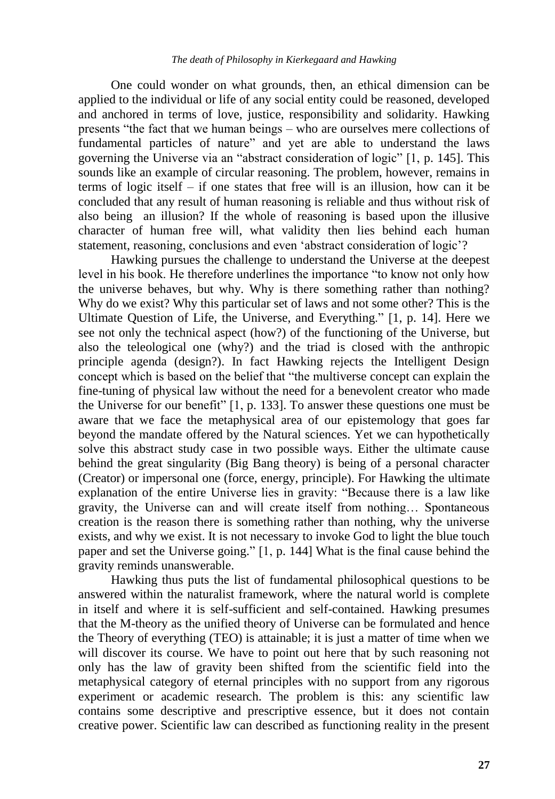One could wonder on what grounds, then, an ethical dimension can be applied to the individual or life of any social entity could be reasoned, developed and anchored in terms of love, justice, responsibility and solidarity. Hawking presents "the fact that we human beings – who are ourselves mere collections of fundamental particles of nature" and yet are able to understand the laws governing the Universe via an "abstract consideration of logic" [1, p. 145]. This sounds like an example of circular reasoning. The problem, however, remains in terms of logic itself – if one states that free will is an illusion, how can it be concluded that any result of human reasoning is reliable and thus without risk of also being an illusion? If the whole of reasoning is based upon the illusive character of human free will, what validity then lies behind each human statement, reasoning, conclusions and even "abstract consideration of logic"?

Hawking pursues the challenge to understand the Universe at the deepest level in his book. He therefore underlines the importance "to know not only how the universe behaves, but why. Why is there something rather than nothing? Why do we exist? Why this particular set of laws and not some other? This is the Ultimate Question of Life, the Universe, and Everything." [1, p. 14]. Here we see not only the technical aspect (how?) of the functioning of the Universe, but also the teleological one (why?) and the triad is closed with the anthropic principle agenda (design?). In fact Hawking rejects the Intelligent Design concept which is based on the belief that "the multiverse concept can explain the fine-tuning of physical law without the need for a benevolent creator who made the Universe for our benefit" [1, p. 133]. To answer these questions one must be aware that we face the metaphysical area of our epistemology that goes far beyond the mandate offered by the Natural sciences. Yet we can hypothetically solve this abstract study case in two possible ways. Either the ultimate cause behind the great singularity (Big Bang theory) is being of a personal character (Creator) or impersonal one (force, energy, principle). For Hawking the ultimate explanation of the entire Universe lies in gravity: "Because there is a law like gravity, the Universe can and will create itself from nothing… Spontaneous creation is the reason there is something rather than nothing, why the universe exists, and why we exist. It is not necessary to invoke God to light the blue touch paper and set the Universe going." [1, p. 144] What is the final cause behind the gravity reminds unanswerable.

Hawking thus puts the list of fundamental philosophical questions to be answered within the naturalist framework, where the natural world is complete in itself and where it is self-sufficient and self-contained. Hawking presumes that the M-theory as the unified theory of Universe can be formulated and hence the Theory of everything (TEO) is attainable; it is just a matter of time when we will discover its course. We have to point out here that by such reasoning not only has the law of gravity been shifted from the scientific field into the metaphysical category of eternal principles with no support from any rigorous experiment or academic research. The problem is this: any scientific law contains some descriptive and prescriptive essence, but it does not contain creative power. Scientific law can described as functioning reality in the present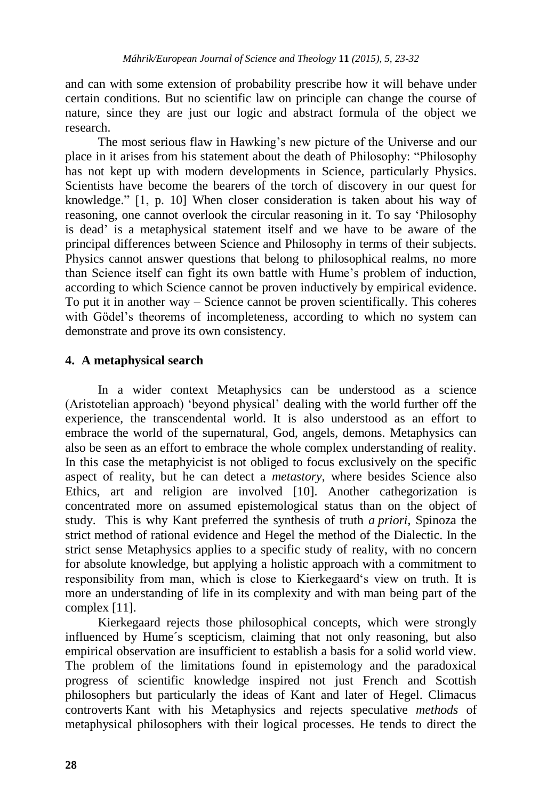and can with some extension of probability prescribe how it will behave under certain conditions. But no scientific law on principle can change the course of nature, since they are just our logic and abstract formula of the object we research.

The most serious flaw in Hawking's new picture of the Universe and our place in it arises from his statement about the death of Philosophy: "Philosophy has not kept up with modern developments in Science, particularly Physics. Scientists have become the bearers of the torch of discovery in our quest for knowledge." [1, p. 10] When closer consideration is taken about his way of reasoning, one cannot overlook the circular reasoning in it. To say "Philosophy is dead" is a metaphysical statement itself and we have to be aware of the principal differences between Science and Philosophy in terms of their subjects. Physics cannot answer questions that belong to philosophical realms, no more than Science itself can fight its own battle with Hume"s problem of induction, according to which Science cannot be proven inductively by empirical evidence. To put it in another way – Science cannot be proven scientifically. This coheres with Gödel's theorems of incompleteness, according to which no system can demonstrate and prove its own consistency.

## **4. A metaphysical search**

In a wider context Metaphysics can be understood as a science (Aristotelian approach) "beyond physical" dealing with the world further off the experience, the transcendental world. It is also understood as an effort to embrace the world of the supernatural, God, angels, demons. Metaphysics can also be seen as an effort to embrace the whole complex understanding of reality. In this case the metaphyicist is not obliged to focus exclusively on the specific aspect of reality, but he can detect a *metastory*, where besides Science also Ethics, art and religion are involved [10]. Another cathegorization is concentrated more on assumed epistemological status than on the object of study. This is why Kant preferred the synthesis of truth *a priori*, Spinoza the strict method of rational evidence and Hegel the method of the Dialectic. In the strict sense Metaphysics applies to a specific study of reality, with no concern for absolute knowledge, but applying a holistic approach with a commitment to responsibility from man, which is close to Kierkegaard"s view on truth. It is more an understanding of life in its complexity and with man being part of the complex [11].

Kierkegaard rejects those philosophical concepts, which were strongly influenced by Hume´s scepticism, claiming that not only reasoning, but also empirical observation are insufficient to establish a basis for a solid world view. The problem of the limitations found in epistemology and the paradoxical progress of scientific knowledge inspired not just French and Scottish philosophers but particularly the ideas of Kant and later of Hegel. Climacus controverts Kant with his Metaphysics and rejects speculative *methods* of metaphysical philosophers with their logical processes. He tends to direct the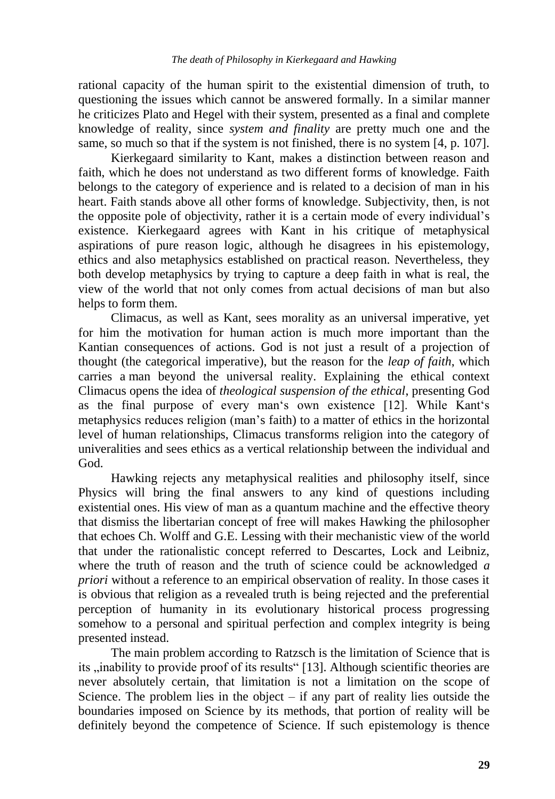rational capacity of the human spirit to the existential dimension of truth, to questioning the issues which cannot be answered formally. In a similar manner he criticizes Plato and Hegel with their system, presented as a final and complete knowledge of reality, since *system and finality* are pretty much one and the same, so much so that if the system is not finished, there is no system [4, p. 107].

Kierkegaard similarity to Kant, makes a distinction between reason and faith, which he does not understand as two different forms of knowledge. Faith belongs to the category of experience and is related to a decision of man in his heart. Faith stands above all other forms of knowledge. Subjectivity, then, is not the opposite pole of objectivity, rather it is a certain mode of every individual"s existence. Kierkegaard agrees with Kant in his critique of metaphysical aspirations of pure reason logic, although he disagrees in his epistemology, ethics and also metaphysics established on practical reason. Nevertheless, they both develop metaphysics by trying to capture a deep faith in what is real, the view of the world that not only comes from actual decisions of man but also helps to form them.

Climacus, as well as Kant, sees morality as an universal imperative, yet for him the motivation for human action is much more important than the Kantian consequences of actions. God is not just a result of a projection of thought (the categorical imperative), but the reason for the *leap of faith*, which carries a man beyond the universal reality. Explaining the ethical context Climacus opens the idea of *theological suspension of the ethical*, presenting God as the final purpose of every man"s own existence [12]. While Kant"s metaphysics reduces religion (man"s faith) to a matter of ethics in the horizontal level of human relationships, Climacus transforms religion into the category of univeralities and sees ethics as a vertical relationship between the individual and God.

Hawking rejects any metaphysical realities and philosophy itself, since Physics will bring the final answers to any kind of questions including existential ones. His view of man as a quantum machine and the effective theory that dismiss the libertarian concept of free will makes Hawking the philosopher that echoes Ch. Wolff and G.E. Lessing with their mechanistic view of the world that under the rationalistic concept referred to Descartes, Lock and Leibniz, where the truth of reason and the truth of science could be acknowledged *a priori* without a reference to an empirical observation of reality. In those cases it is obvious that religion as a revealed truth is being rejected and the preferential perception of humanity in its evolutionary historical process progressing somehow to a personal and spiritual perfection and complex integrity is being presented instead.

The main problem according to Ratzsch is the limitation of Science that is its , inability to provide proof of its results "[13]. Although scientific theories are never absolutely certain, that limitation is not a limitation on the scope of Science. The problem lies in the object  $-$  if any part of reality lies outside the boundaries imposed on Science by its methods, that portion of reality will be definitely beyond the competence of Science. If such epistemology is thence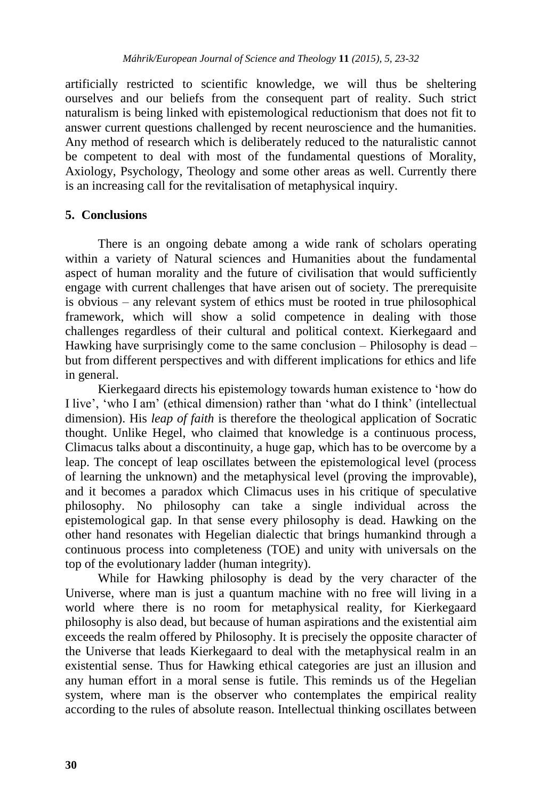artificially restricted to scientific knowledge, we will thus be sheltering ourselves and our beliefs from the consequent part of reality. Such strict naturalism is being linked with epistemological reductionism that does not fit to answer current questions challenged by recent neuroscience and the humanities. Any method of research which is deliberately reduced to the naturalistic cannot be competent to deal with most of the fundamental questions of Morality, Axiology, Psychology, Theology and some other areas as well. Currently there is an increasing call for the revitalisation of metaphysical inquiry.

## **5. Conclusions**

There is an ongoing debate among a wide rank of scholars operating within a variety of Natural sciences and Humanities about the fundamental aspect of human morality and the future of civilisation that would sufficiently engage with current challenges that have arisen out of society. The prerequisite is obvious – any relevant system of ethics must be rooted in true philosophical framework, which will show a solid competence in dealing with those challenges regardless of their cultural and political context. Kierkegaard and Hawking have surprisingly come to the same conclusion – Philosophy is dead – but from different perspectives and with different implications for ethics and life in general.

Kierkegaard directs his epistemology towards human existence to "how do I live", "who I am" (ethical dimension) rather than "what do I think" (intellectual dimension). His *leap of faith* is therefore the theological application of Socratic thought. Unlike Hegel, who claimed that knowledge is a continuous process, Climacus talks about a discontinuity, a huge gap, which has to be overcome by a leap. The concept of leap oscillates between the epistemological level (process of learning the unknown) and the metaphysical level (proving the improvable), and it becomes a paradox which Climacus uses in his critique of speculative philosophy. No philosophy can take a single individual across the epistemological gap. In that sense every philosophy is dead. Hawking on the other hand resonates with Hegelian dialectic that brings humankind through a continuous process into completeness (TOE) and unity with universals on the top of the evolutionary ladder (human integrity).

While for Hawking philosophy is dead by the very character of the Universe, where man is just a quantum machine with no free will living in a world where there is no room for metaphysical reality, for Kierkegaard philosophy is also dead, but because of human aspirations and the existential aim exceeds the realm offered by Philosophy. It is precisely the opposite character of the Universe that leads Kierkegaard to deal with the metaphysical realm in an existential sense. Thus for Hawking ethical categories are just an illusion and any human effort in a moral sense is futile. This reminds us of the Hegelian system, where man is the observer who contemplates the empirical reality according to the rules of absolute reason. Intellectual thinking oscillates between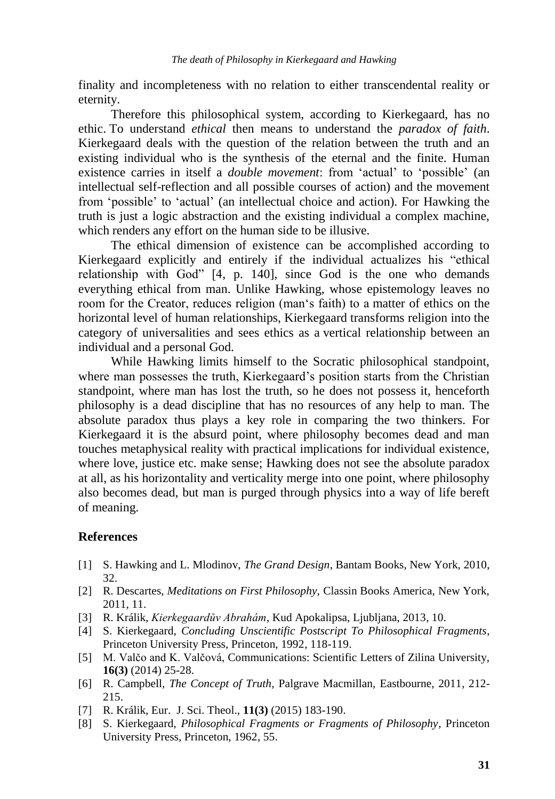finality and incompleteness with no relation to either transcendental reality or eternity.

Therefore this philosophical system, according to Kierkegaard, has no ethic. To understand *ethical* then means to understand the *paradox of faith*. Kierkegaard deals with the question of the relation between the truth and an existing individual who is the synthesis of the eternal and the finite. Human existence carries in itself a *double movement*: from "actual" to "possible" (an intellectual self-reflection and all possible courses of action) and the movement from "possible" to "actual" (an intellectual choice and action). For Hawking the truth is just a logic abstraction and the existing individual a complex machine, which renders any effort on the human side to be illusive.

The ethical dimension of existence can be accomplished according to Kierkegaard explicitly and entirely if the individual actualizes his "ethical relationship with God" [4, p. 140], since God is the one who demands everything ethical from man. Unlike Hawking, whose epistemology leaves no room for the Creator, reduces religion (man"s faith) to a matter of ethics on the horizontal level of human relationships, Kierkegaard transforms religion into the category of universalities and sees ethics as a vertical relationship between an individual and a personal God.

While Hawking limits himself to the Socratic philosophical standpoint, where man possesses the truth, Kierkegaard's position starts from the Christian standpoint, where man has lost the truth, so he does not possess it, henceforth philosophy is a dead discipline that has no resources of any help to man. The absolute paradox thus plays a key role in comparing the two thinkers. For Kierkegaard it is the absurd point, where philosophy becomes dead and man touches metaphysical reality with practical implications for individual existence, where love, justice etc. make sense; Hawking does not see the absolute paradox at all, as his horizontality and verticality merge into one point, where philosophy also becomes dead, but man is purged through physics into a way of life bereft of meaning.

## **References**

- [1] S. Hawking and L. Mlodinov, *The Grand Design*, Bantam Books, New York, 2010, 32.
- [2] R. Descartes, *Meditations on First Philosophy,* Classin Books America, New York, 2011, 11.
- [3] R. Králik, *Kierkegaardův Abrahám*, Kud Apokalipsa, Ljubljana, 2013, 10.
- [4] S. Kierkegaard, *Concluding Unscientific Postscript To Philosophical Fragments*, Princeton University Press, Princeton, 1992, 118-119.
- [5] M. Valčo and K. Valčová, Communications: Scientific Letters of Zilina University, **16(3)** (2014) 25-28.
- [6] R. Campbell, *The Concept of Truth,* Palgrave Macmillan, Eastbourne, 2011, 212- 215.
- [7] R. Králik, Eur. J. Sci. Theol., **11(3)** (2015) 183-190.
- [8] S. Kierkegaard, *Philosophical Fragments or Fragments of Philosophy*, Princeton University Press, Princeton, 1962, 55.